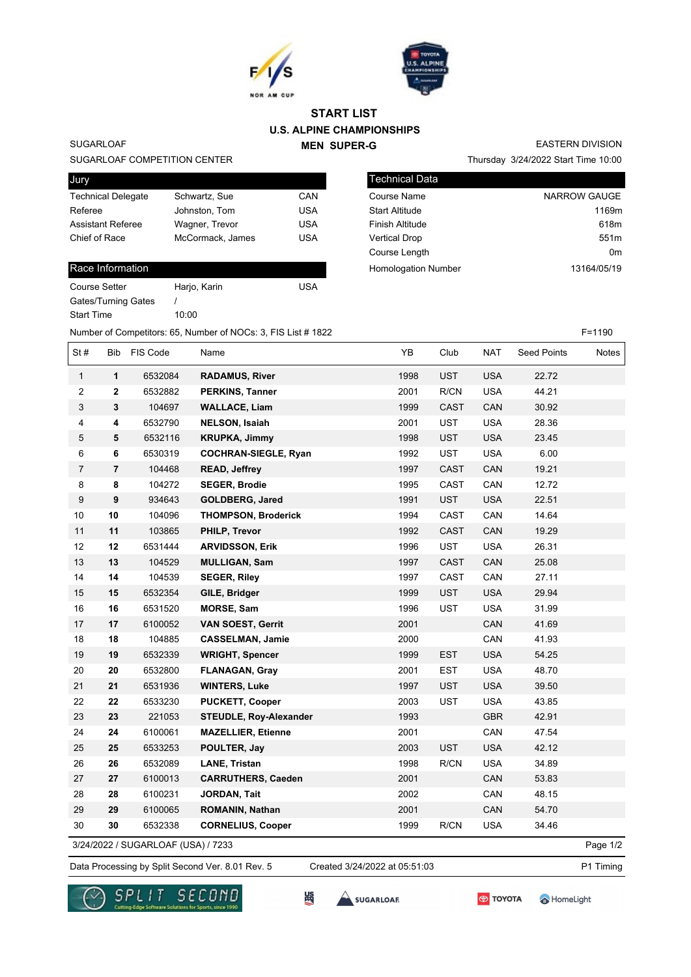



# **U.S. ALPINE CHAMPIONSHIPS MEN SUPER-G START LIST**

### SUGARLOAF

#### SUGARLOAF COMPETITION CENTER

| Jury                      |                  |            |
|---------------------------|------------------|------------|
| <b>Technical Delegate</b> | Schwartz, Sue    | CAN        |
| Referee                   | Johnston, Tom    | <b>USA</b> |
| <b>Assistant Referee</b>  | Wagner, Trevor   | <b>USA</b> |
| Chief of Race             | McCormack, James | <b>USA</b> |
|                           |                  |            |

### Race Information

| <b>Course Setter</b> | Harjo, Karin | USA |
|----------------------|--------------|-----|
| Gates/Turning Gates  |              |     |
| <b>Start Time</b>    | 10:00        |     |
|                      |              |     |

Thursday 3/24/2022 Start Time 10:00 EASTERN DIVISION

| Technical Data             |                     |
|----------------------------|---------------------|
| Course Name                | <b>NARROW GAUGE</b> |
| <b>Start Altitude</b>      | 1169m               |
| Finish Altitude            | 618m                |
| <b>Vertical Drop</b>       | 551 <sub>m</sub>    |
| Course Length              | 0m                  |
| <b>Homologation Number</b> | 13164/05/19         |
|                            |                     |

Number of Competitors: 65, Number of NOCs: 3, FIS List # 1822 F=1190

| St#            | <b>Bib</b>     | FIS Code | Name                          | YB   | Club       | <b>NAT</b> | <b>Seed Points</b> | Notes |
|----------------|----------------|----------|-------------------------------|------|------------|------------|--------------------|-------|
| $\mathbf{1}$   | $\mathbf{1}$   | 6532084  | <b>RADAMUS, River</b>         | 1998 | <b>UST</b> | <b>USA</b> | 22.72              |       |
| 2              | $\mathbf{2}$   | 6532882  | <b>PERKINS, Tanner</b>        | 2001 | R/CN       | <b>USA</b> | 44.21              |       |
| $\sqrt{3}$     | 3              | 104697   | <b>WALLACE, Liam</b>          | 1999 | CAST       | CAN        | 30.92              |       |
| 4              | 4              | 6532790  | <b>NELSON, Isaiah</b>         | 2001 | <b>UST</b> | <b>USA</b> | 28.36              |       |
| $\,$ 5 $\,$    | 5              | 6532116  | <b>KRUPKA, Jimmy</b>          | 1998 | <b>UST</b> | <b>USA</b> | 23.45              |       |
| 6              | 6              | 6530319  | <b>COCHRAN-SIEGLE, Ryan</b>   | 1992 | <b>UST</b> | <b>USA</b> | 6.00               |       |
| $\overline{7}$ | $\overline{7}$ | 104468   | <b>READ, Jeffrey</b>          | 1997 | CAST       | CAN        | 19.21              |       |
| 8              | 8              | 104272   | <b>SEGER, Brodie</b>          | 1995 | CAST       | CAN        | 12.72              |       |
| 9              | 9              | 934643   | <b>GOLDBERG, Jared</b>        | 1991 | <b>UST</b> | <b>USA</b> | 22.51              |       |
| 10             | 10             | 104096   | <b>THOMPSON, Broderick</b>    | 1994 | CAST       | CAN        | 14.64              |       |
| 11             | 11             | 103865   | PHILP, Trevor                 | 1992 | CAST       | CAN        | 19.29              |       |
| 12             | 12             | 6531444  | <b>ARVIDSSON, Erik</b>        | 1996 | <b>UST</b> | <b>USA</b> | 26.31              |       |
| 13             | 13             | 104529   | <b>MULLIGAN, Sam</b>          | 1997 | CAST       | CAN        | 25.08              |       |
| 14             | 14             | 104539   | <b>SEGER, Riley</b>           | 1997 | CAST       | CAN        | 27.11              |       |
| 15             | 15             | 6532354  | GILE, Bridger                 | 1999 | <b>UST</b> | <b>USA</b> | 29.94              |       |
| 16             | 16             | 6531520  | <b>MORSE, Sam</b>             | 1996 | <b>UST</b> | <b>USA</b> | 31.99              |       |
| 17             | 17             | 6100052  | <b>VAN SOEST, Gerrit</b>      | 2001 |            | CAN        | 41.69              |       |
| 18             | 18             | 104885   | <b>CASSELMAN, Jamie</b>       | 2000 |            | CAN        | 41.93              |       |
| 19             | 19             | 6532339  | <b>WRIGHT, Spencer</b>        | 1999 | <b>EST</b> | <b>USA</b> | 54.25              |       |
| 20             | 20             | 6532800  | <b>FLANAGAN, Gray</b>         | 2001 | EST        | <b>USA</b> | 48.70              |       |
| 21             | 21             | 6531936  | <b>WINTERS, Luke</b>          | 1997 | <b>UST</b> | <b>USA</b> | 39.50              |       |
| 22             | 22             | 6533230  | <b>PUCKETT, Cooper</b>        | 2003 | <b>UST</b> | <b>USA</b> | 43.85              |       |
| 23             | 23             | 221053   | <b>STEUDLE, Roy-Alexander</b> | 1993 |            | <b>GBR</b> | 42.91              |       |
| 24             | 24             | 6100061  | <b>MAZELLIER, Etienne</b>     | 2001 |            | CAN        | 47.54              |       |
| 25             | 25             | 6533253  | POULTER, Jay                  | 2003 | <b>UST</b> | <b>USA</b> | 42.12              |       |
| 26             | 26             | 6532089  | <b>LANE, Tristan</b>          | 1998 | R/CN       | <b>USA</b> | 34.89              |       |
| 27             | 27             | 6100013  | <b>CARRUTHERS, Caeden</b>     | 2001 |            | CAN        | 53.83              |       |
| 28             | 28             | 6100231  | <b>JORDAN, Tait</b>           | 2002 |            | CAN        | 48.15              |       |
| 29             | 29             | 6100065  | <b>ROMANIN, Nathan</b>        | 2001 |            | CAN        | 54.70              |       |
| 30             | 30             | 6532338  | <b>CORNELIUS, Cooper</b>      | 1999 | R/CN       | <b>USA</b> | 34.46              |       |

3/24/2022 / SUGARLOAF (USA) / 7233

Data Processing by Split Second Ver. 8.01 Rev. 5 Created 3/24/2022 at 05:51:03 P1 Timing Created 3/24/2022 at 05:51:03

Page 1/2





**SEC** 

SUGARLOAR